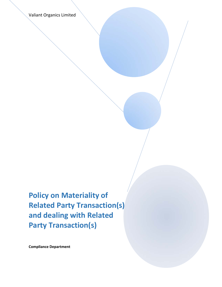Valiant Organics Limited

**Policy on Materiality of Related Party Transaction(s) and dealing with Related Party Transaction(s)**

**Compliance Department**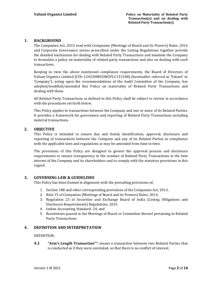## **1. BACKGROUND**

The Companies Act, 2013 read with Companies (Meetings of Board and its Powers) Rules, 2014 and Corporate Governance norms prescribed under the Listing Regulations together provide the detailed mechanism for dealing with Related Party Transactions and mandate the Company to formulate a policy on materiality of related party transactions and also on dealing with such transactions.

Keeping in view the above mentioned compliance requirements, the Board of Directors of Valiant Organics Limited [CIN: L24230MH2005PLC151348] (hereinafter referred as 'Valiant' or 'Company'), acting upon the recommendations of the Audit Committee of the Company, has adopted/modified/amended this Policy on materiality of Related Party Transactions and dealing with those.

All Related Party Transactions as defined in this Policy shall be subject to review in accordance with the procedures set forth below.

This Policy applies to transactions between the Company and one or more of its Related Parties. It provides a framework for governance and reporting of Related Party Transactions including material transactions.

## **2. OBJECTIVE**

This Policy is intended to ensure due and timely identification, approval, disclosure and reporting of transactions between the Company and any of its Related Parties in compliance with the applicable laws and regulations as may be amended from time to time.

The provisions of this Policy are designed to govern the approval process and disclosure requirements to ensure transparency in the conduct of Related Party Transactions in the best interest of the Company and its shareholders and to comply with the statutory provisions in this regard.

# **3. GOVERNING LAW & GUIDELINES**

This Policy has been framed in alignment with the prevailing provisions of;

- 1. Section 188 and other corresponding provisions of the Companies Act, 2013,
- 2. Rule 15 of Companies (Meetings of Board and its Powers) Rules, 2014,
- 3. Regulation 23 of Securities and Exchange Board of India (Listing Obligations and Disclosure Requirements) Regulations, 2015
- 4. Indian Accounting Standard- 24, and
- 5. Resolutions passed in the Meetings of Board or Committee thereof pertaining to Related Party Transactions.

# **4. DEFINITION AND INTERPRETATION**

DEFINITION:

**4.1 "Arm's Length Transaction"":** means a transaction between two Related Parties that is conducted as if they were unrelated, so that there is no conflict of interest.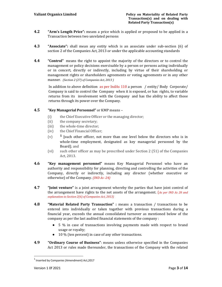- **4.2 "Arm's Length Price":** means a price which is applied or proposed to be applied in a Transaction between two unrelated persons
- **4.3 "Associate":** shall mean any entity which is an associate under sub-section (6) of section 2 of the Companies Act, 2013 or under the applicable accounting standards
- **4.4 "Control"** means the right to appoint the majority of the directors or to control the management or policy decisions exercisable by a person or persons acting individually or in concert, directly or indirectly, including by virtue of their shareholding or management rights or shareholders agreements or voting agreements or in any other manner. *(Section 2 (27) of Companies Act, 2013 )*

In addition to above definition as per IndAs 110 a person / entity/ Body Corporate/ Company is said to control the Company when it is exposed, or has rights, to variable returns from its involvement with the Company and has the ability to affect those returns through its power over the Company.

## **4.5 "Key Managerial Personnel"** or KMP means –

- (i) the Chief Executive Officer or the managing director;
- (ii) the company secretary;
- (iii) the whole-time director;
- (iv) the Chief Financial Officer;
- (v) **<sup>1</sup>** [such other officer, not more than one level below the directors who is in whole-time employment, designated as key managerial personnel by the Board]; and
- (vi) such other officer as may be prescribed under Section 2 (51) of the Companies Act, 2013.
- **4.6 "Key management personnel"** means Key Managerial Personnel who have an authority and responsibility for planning, directing and controlling the activities of the Company, directly or indirectly, including any director (whether executive or otherwise) of the Company. *(IND As ‐24)*
- **4.7 "Joint venture"** is a joint arrangement whereby the parties that have joint control of the arrangement have rights to the net assets of the arrangement. (*As per IND As 28 and explanation to Section 2(6) of Companies Act, 2013)*
- **4.8 "Material Related Party Transaction" :** means a transaction / transactions to be entered into individually or taken together with previous transactions during a financial year, exceeds the annual consolidated turnover as mentioned below of the company as per the last audited financial statements of the company :
	- 5 % in case of transactions involving payments made with respect to brand usage or royalty;
	- 10 % (ten percent) in case of any other transactions.
- **4.9 "Ordinary Course of Business"**: means unless otherwise specified in the Companies Act 2013 or rules made thereunder, the transactions of the Company with the related

<sup>&</sup>lt;sup>1</sup> Inserted by Companies (Amendment) Act, 2017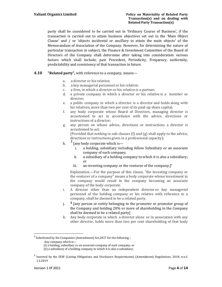party shall be considered to be carried out in 'Ordinary Course of Business', if the transaction is carried out to attain business objectives set out in the 'Main Object Clause' and / or 'objects incidental or ancillary to attain the main objects' of the Memorandum of Association of the Company. However, for determining the nature of particular transaction in subject, the Finance & Investment Committee of the Board of Directors of the Company shall determine after taking into consideration various factors which shall include; past Precedent, Periodicity, Frequency, uniformity, predictability and consistency of that transaction in future.

#### **4.10 "Related party",** with reference to a company, means—

- a. a director or his relative;
- b. a key managerial personnel or his relative;
- c. a firm, in which a director or his relative is a partner;
- d. a private company in which a director or his relative is a member or director;
- e. a public company in which a director is a director and holds along with his relatives, more than two per cent of its paid-up share capital;
- f. any body corporate whose Board of Directors, managing director is accustomed to act in accordance with the advice, directions or instructions of a director;
- g. any person on whose advice, directions or instructions a director is accustomed to act:

(Provided that nothing in sub-clauses (f) and (g) shall apply to the advice, directions or instructions given in a professional capacity);

- h. **<sup>2</sup>**  $<sup>2</sup>$  [any body corporate which is—</sup>
	- i. a holding, subsidiary including fellow Subsidiary or an associate company of such company;
	- ii. a subsidiary of a holding company to which it is also a subsidiary; or
	- iii. an investing company or the venturer of the company;]"

Explanation.—For the purpose of this clause, "the investing company or the venturer of a company" means a body corporate whose investment in the company would result in the company becoming an associate company of the body corporate.

- i. A director other than an independent director or key managerial personnel of the holding company or his relative with reference to a company, shall be deemed to be a related party.
- j. **<sup>3</sup>** [any person or entity belonging to the promoter or promoter group of the Company and holding 20% or more of shareholding in the Company shall be deemed to be a related party]
- k. Any body corporate in which a director alone or in association with any other director, holds more than two per cent shareholding of that body

<sup>&</sup>lt;sup>2</sup> Substituted by the Companies (Amendment) Act, 2017 for the following -

Any company which is—

<sup>(</sup>i) a holding, subsidiary or an associate company of such company; or

<sup>(</sup>ii) a subsidiary of a holding company to which it is also a subsidiary;

<sup>&</sup>lt;sup>3</sup> Inserted by the SEBI (Listing Obligations and Disclosure Requirements) (Amendment) Regulations, 2018, w.e.f. 1.4.2019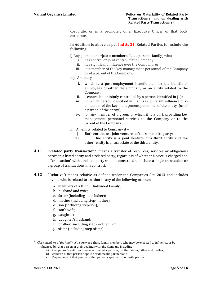corporate, or is a promoter, Chief Executive Officer of that body corporate.

#### **In Addition to above as per Ind As 24 Related Parties to include the following –**

l) Any person or a 4[close member of that person's family] who:

- i. has control or joint control of the Company;
- ii. has significant influence over the Company; or
- iii. is a member of the key management personnel of the Company or of a parent of the Company;
- m) An entity
	- i. which is a post-employment benefit plan for the benefit of employees of either the Company or an entity related to the Company;
	- ii. controlled or jointly controlled by a person identified in (L);
	- iii. in which person identified in l (i) has significant influence or is a member of the key management personnel of the entity (or of a parent of the entity);
	- iv. or any member of a group of which it is a part, providing key management personnel services to the Company or to the parent of the Company.
- n) An entity related to Company if
	- i) Both entities are joint ventures of the same third party;
	- ii) One entity is a joint venture of a third entity and the other entity is an associate of the third entity.
- **4.11 "Related party transaction"**: means a transfer of resources, services or obligations between a listed entity and a related party, regardless of whether a price is charged and a "transaction" with a related party shall be construed to include a single transaction or a group of transactions in a contract.
- **4.12 "Relative":** means relative as defined under the Companies Act, 2013 and includes anyone who is related to another in any of the following manner:
	- a. members of a Hindu Undivided Family;
	- b. husband and wife;
	- c. father (including step-father);
	- d. mother (including step-mother);
	- e. son (including step-son);
	- f. son's wife;
	- g. daughter;

- h. daughter's husband;
- i. brother (including step-brother); or
- j. sister (including step-sister)

- a) that person's children, spouse or domestic partner, brother, sister, father and mother;
	- b) children of that person's spouse or domestic partner; and

<sup>4</sup> *Close members of the family of a person* are those family members who may be expected to influence, or be influenced by, that person in their dealings with the Company including :

c) Dependants of that person or that person's spouse or domestic partner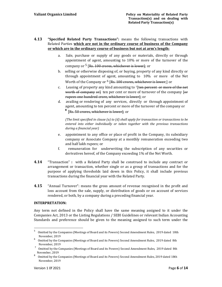# **4.13 "Specified Related Party Transactions":** means the following transactions with Related Parties **which are not in the ordinary course of business of the Company or which are in the ordinary course of business but not at arm's length:**

- a. Sale, purchase or supply of any goods or materials, directly or through appointment of agent, amounting to 10% or more of the turnover of the company or  $5$  [Rs. 100 crores, whichever is lower]; or
- b. selling or otherwise disposing of, or buying, property of any kind directly or through appointment of agent, amounting to 10% or more of the Net Worth of the Company or  $^6$  [Rs. 100 crores, whichever is lower;] or
- c. Leasing of property any kind amounting to  $7$  [ten percent or more of the net worth of company orl ten per cent or more of turnover of the company [or rupees one hundred crore, whichever is lower]; or
- d. availing or rendering of any services, directly or through appointment of agent, amounting to ten percent or more of the turnover of the company or **<sup>8</sup>** [Rs. 50 crores, whichever is lower]; or

*(The limit specified in clause (a) to (d) shall apply for transaction or transactions to be entered into either individually or taken together with the previous transactions during a financial year)*

- e. appointment to any office or place of profit in the Company, its subsidiary company or Associate Company at a monthly remuneration exceeding two and half lakh rupees; or
- f. remuneration for underwriting the subscription of any securities or derivatives hereof, of the Company exceeding 1% of the Net Worth.
- **4.14** "Transaction" **:** with a Related Party shall be construed to include any contract or arrangement or transaction, whether single or as a group of transactions and for the purpose of applying thresholds laid down in this Policy, it shall include previous transactions during the financial year with the Related Party.
- **4.15** "Annual Turnover": means the gross amount of revenue recognised in the profit and loss account from the sale, supply, or distribution of goods or on account of services rendered, or both, by a company during a preceding financial year.

# **INTERPRETATION:**

Any term not defined in the Policy shall have the same meaning assigned to it under the Companies Act, 2013 or the Listing Regulations / SEBI Guidelines or relevant Indian Accounting Standards and preference should be given to the meaning assigned to such term under the

<sup>5</sup> Omitted by the Companies (Meetings of Board and its Powers) Second Amendment Rules, 2019 dated 18th November, 2019

<sup>6</sup> Omitted by the Companies (Meetings of Board and its Powers) Second Amendment Rules, 2019 dated 8th November, 2019

<sup>7</sup> Omitted by the Companies (Meetings of Board and its Powers) Second Amendment Rules, 2019 dated 8th November, 2019

<sup>8</sup> Omitted by the Companies (Meetings of Board and its Powers) Second Amendment Rules, 2019 dated 18th November, 2019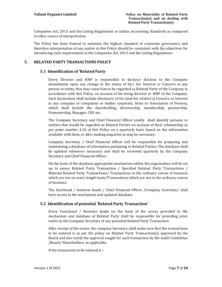Companies Act, 2013 and the Listing Regulations or Indian Accounting Standards as compared to other source of interpretation.

The Policy has been framed to maintain the highest standard of corporate governance and therefore interpretation of any matter in this Policy should be consistent with the objectives for introducing such requirements in the Companies Act, 2013 and the Listing Regulations.

# **5. RELATED PARTY TRANSACTIONS POLICY**

## **5.1 Identification of 'Related Party**

Every Director and KMP is responsible to declare/ disclose to the Company immediately upon any change in the status of his/ her Interest or Concern in any person or entity, that may cause him to be regarded as Related Party of the Company in accordance with this Policy, on account of his being director or KMP of the Company. Such declaration shall include disclosure of his (and his relative's) Concern or Interest in any company or companies or bodies corporate, firms or Association of Persons, which shall include the shareholding, directorship, membership, partnership, Promotership, Manager, CEO etc.

The Company Secretary and Chief Financial Officer jointly shall identify persons or entities that would be regarded as Related Parties on account of their relationship as per point number 4.10 of this Policy on a quarterly basis based on the information available with them or after making enquiries as may be necessary.

Company Secretary / Chief Financial Officer will be responsible for preparing and maintaining a database of information pertaining to Related Parties. The database shall be updated whenever necessary and shall be reviewed quarterly by the Company Secretary and Chief Financial Officer.

On the basis of the database appropriate mechanism within the organisation will be set up to assess Related Party Transaction / Specified Related Party Transactions / Material Related Party Transactions/ Transactions in the ordinary course of business which are not on arm's length basis/Transactions which are not in the ordinary course of business.

The functional / business heads / Chief Financial Officer /Company Secretary/ shall have access to the mechanism and updated database.

# **5.2 Identification of potential 'Related Party Transaction'**

Every Functional / Business heads on the basis of the access provided to the mechanism and database of Related Party shall be responsible for providing prior notice to the Company Secretary of any potential Related Party Transaction.

After receipt of the notice, the company Secretary shall make sure that the transactions to be entered is as per the policy on Related Party Transaction(s) approved by the Board and also verify the approval sought for such transaction by the Audit Committee /Board/ Shareholders, as applicable.

If the transaction to be entered is –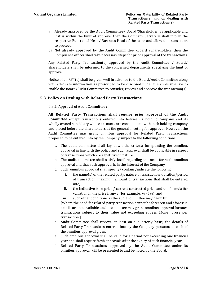- a) Already approved by the Audit Committee/ Board/Shareholder, as applicable and if it is within the limit of approval then the Company Secretary shall inform the respective Functional Head/ Business Head of the same and allow the transaction to proceed.
- b) Not already approved by the Audit Committee /Board /Shareholders then the Compliance officer shall take necessary steps for prior approval of the transactions.

Any Related Party Transaction(s) approved by the Audit Committee / Board/ Shareholders shall be informed to the concerned departments specifying the limit of approval.

Notice of all RPT(s) shall be given well in advance to the Board/Audit Committee along with adequate information as prescribed to be disclosed under the applicable law to enable the Board/Audit Committee to consider, review and approve the transaction(s).

## **5.3 Policy on Dealing with Related Party Transactions**

5.3.1 Approval of Audit Committee :

**All Related Party Transactions shall require prior approval of the Audit Committee** except transactions entered into between a holding company and its wholly owned subsidiary whose accounts are consolidated with such holding company and placed before the shareholders at the general meeting for approval. However, the Audit Committee may grant omnibus approval for Related Party Transactions proposed to be entered into by the Company subject to the following conditions:

- a. The audit committee shall lay down the criteria for granting the omnibus approval in line with the policy and such approval shall be applicable in respect of transactions which are repetitive in nature
- b. The audit committee shall satisfy itself regarding the need for such omnibus approval and that such approval is in the interest of the Company
- c. Such omnibus approval shall specify/ contain /indicate the following:
	- i. the name(s) of the related party, nature of transaction, duration/period of transaction, maximum amount of transactions that shall be entered into,
	- ii. the indicative base price / current contracted price and the formula for variation in the price if any ; (for example,  $+/-5\%$ ); and
	- iii. such other conditions as the audit committee may deem fit

[Where the need for related party transaction cannot be foreseen and aforesaid details are not available, audit committee may grant omnibus approval for such transactions subject to their value not exceeding rupees 1(one) Crore per transaction.]

- d. Audit Committee shall review, at least on a quarterly basis, the details of Related Party Transactions entered into by the Company pursuant to each of the omnibus approval given.
- e. Such omnibus approval shall be valid for a period not exceeding one financial year and shall require fresh approvals after the expiry of such financial year.
- f. Related Party Transactions, approved by the Audit Committee under its omnibus approval, will be presented to and be noted by the Board.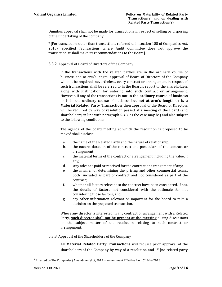Omnibus approval shall not be made for transactions in respect of selling or disposing of the undertaking of the company.

9 [For transaction, other than transactions referred to in section 188 of Companies Act, 2013/ Specified Transactions where Audit Committee does not approve the transaction, it shall make its recommendations to the Board].

#### 5.3.2 Approval of Board of Directors of the Company

If the transactions with the related parties are in the ordinary course of business and at arm's length, approval of Board of Directors of the Company will not be required; nevertheless, every contract or arrangement in respect of such transactions shall be referred to in the Board's report to the shareholders along with justification for entering into such contract or arrangement. However, if any of the transactions is **not in the ordinary course of business** or is in the ordinary course of business but **not at arm's length or is a Material Related Party Transaction**, then approval of the Board of Directors will be required by way of resolution passed at a meeting of the Board (and shareholders, in line with paragraph 5.3.3, as the case may be) and also subject to the following conditions:

The agenda of the board meeting at which the resolution is proposed to be moved shall disclose:

- a. the name of the Related Party and the nature of relationship;
- b. the nature, duration of the contract and particulars of the contract or arrangement;
- c. the material terms of the contract or arrangement including the value, if any;
- d. any advance paid or received for the contract or arrangement, if any;
- e. the manner of determining the pricing and other commercial terms, both included as part of contract and not considered as part of the contract;
- f. whether all factors relevant to the contract have been considered, if not, the details of factors not considered with the rationale for not considering those factors; and
- g. any other information relevant or important for the board to take a decision on the proposed transaction.

Where any director is interested in any contract or arrangement with a Related Party, **such director shall not be present at the meeting** during discussions on the subject matter of the resolution relating to such contract or arrangement.

5.3.3 Approval of the Shareholders of the Company

All **Material Related Party Transactions** will require prior approval of the shareholders of the Company by way of a resolution and  $10$  [no related party

 $9$  Inserted by The Companies (Amendment)Act, 2017.:- Amendment Effective from 7<sup>th</sup> May 2018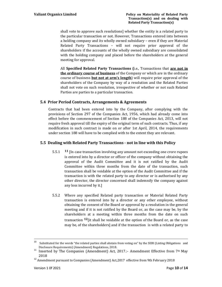shall vote to approve such resolutions] whether the entity is a related party to the particular transaction or not. However, Transactions entered into between a holding company and its wholly owned subsidiary – even if they are Material Related Party Transactions – will not require prior approval of the shareholders if the accounts of the wholly owned subsidiary are consolidated with the holding company and placed before the shareholders at the general meeting for approval.

All **Specified Related Party Transactions (**i.e., Transactions that **are not in the ordinary course of business** of the Company or which are in the ordinary course of business **but not at arm's length**) will require prior approval of the shareholders of the Company by way of a resolution and the Related Parties shall not vote on such resolution, irrespective of whether or not such Related Parties are parties to a particular transaction.

## **5.4 Prior Period Contracts, Arrangements & Agreements**

Contracts that had been entered into by the Company, after complying with the provisions of Section 297 of the Companies Act, 1956, which had already come into effect before the commencement of Section 188 of the Companies Act, 2013, will not require fresh approval till the expiry of the original term of such contracts. Thus, if any modification in such contract is made on or after 1st April, 2014, the requirements under section 188 will have to be complied with to the extent they are relevant.

# **5.5 Dealing with Related Party Transactions ‐ not in line with this Policy**

- 5.5.1 **<sup>11</sup>** [In case transaction involving any amount not exceeding one crore rupees is entered into by a director or officer of the company without obtaining the approval of the Audit Committee and it is not ratified by the Audit Committee within three months from the date of the transaction, such transaction shall be voidable at the option of the Audit Committee and if the transaction is with the related party to any director or is authorised by any other director, the director concerned shall indemnify the company against any loss incurred by it.]
- 5.5.2 Where any specified Related party transaction or Material Related Party transaction is entered into by a director or any other employee, without obtaining the consent of the Board or approval by a resolution in the general meeting and if it is not ratified by the Board or, as the case may be, by the shareholders at a meeting within three months from the date on such transaction **12**[it shall be voidable at the option of the Board or, as the case may be, of the shareholders] and if the transaction is with a related party to

<sup>&</sup>lt;u> La Carlo de la Carlo de la Carlo de la Carlo de la Carlo de la Carlo de la Carlo de la Carlo de la Carlo de l</u> <sup>10</sup> Substituted for the words "the related parties shall abstain from voting on" by the SEBI (Listing Obligations and

Disclosure Requirements) (Amendment) Regulations, 2018.<br>
<sup>11</sup> Inserted by The Companies (Amendment) Act, 2017.:- Amendment Effective from 7<sup>th</sup> May 2018

<sup>&</sup>lt;sup>12</sup> Amendment pursuant to Companies (Amendment) Act, 2017 effective from 9th February 2018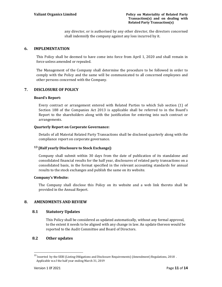any director, or is authorised by any other director, the directors concerned shall indemnify the company against any loss incurred by it.

## **6. IMPLEMENTATION**

This Policy shall be deemed to have come into force from April 1, 2020 and shall remain in force unless amended or repealed.

The Management of the Company shall determine the procedure to be followed in order to comply with the Policy and the same will be communicated to all concerned employees and other persons concerned with the Company.

## **7. DISCLOSURE OF POLICY**

#### **Board's Report:**

Every contract or arrangement entered with Related Parties to which Sub section (1) of Section 188 of the Companies Act 2013 is applicable shall be referred to in the Board's Report to the shareholders along with the justification for entering into such contract or arrangements.

#### **Quarterly Report on Corporate Governance:**

Details of all Material Related Party Transactions shall be disclosed quarterly along with the compliance report on corporate governance.

#### **13 [Half yearly Disclosure to Stock Exchange]:**

Company shall submit within 30 days from the date of publication of its standalone and consolidated financial results for the half year, disclosures of related party transactions on a consolidated basis, in the format specified in the relevant accounting standards for annual results to the stock exchanges and publish the same on its website.

#### **Company's** Website:

The Company shall disclose this Policy on its website and a web link thereto shall be provided in the Annual Report.

#### **8. AMENDMENTS AND REVIEW**

#### **8.1 Statutory Updates**

This Policy shall be considered as updated automatically, without any formal approval, to the extent it needs to be aligned with any change in law. An update thereon would be reported to the Audit Committee and Board of Directors.

#### **8.2 Other updates**

<sup>&</sup>lt;sup>13</sup> Inserted by the SEBI (Listing Obligations and Disclosure Requirements) (Amendment) Regulations, 2018. Applicable w.e.f the half year ending March 31, 2019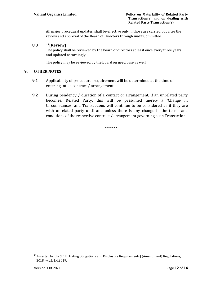All major procedural updates, shall be effective only, if those are carried out after the review and approval of the Board of Directors through Audit Committee.

## **8.3 14[Review]**

The policy shall be reviewed by the board of directors at least once every three years and updated accordingly.

The policy may be reviewed by the Board on need base as well.

## **9. OTHER NOTES**

- **9.1** Applicability of procedural requirement will be determined at the time of entering into a contract / arrangement.
- **9.2** During pendency / duration of a contact or arrangement, if an unrelated party becomes, Related Party, this will be presumed merely a 'Change in Circumstances' and Transactions will continue to be considered as if they are with unrelated party until and unless there is any change in the terms and conditions of the respective contract / arrangement governing such Transaction.

\*\*\*\*\*\*\*

<sup>&</sup>lt;sup>14</sup> Inserted by the SEBI (Listing Obligations and Disclosure Requirements) (Amendment) Regulations, 2018, w.e.f. 1.4.2019.